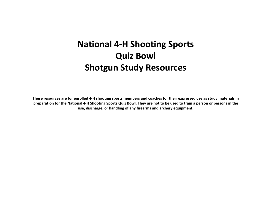# **National 4-H Shooting SportsQuiz BowlShotgun Study Resources**

**These resources are for enrolled 4-H shooting sports members and coaches for their expressed use as study materials in preparation for the National 4-H Shooting Sports Quiz Bowl. They are not to be used to train a person or persons in the use, discharge, or handling of any firearms and archery equipment.**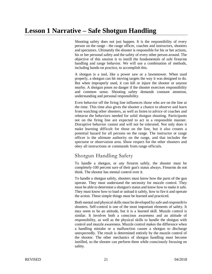## **Lesson 1 Narrative – Safe Shotgun Handling**

Shooting safety does not just happen. It is the responsibility of every person on the range - the range officer, coaches and instructors, shooters and spectators. Ultimately the shooter is responsible for his or her actions, his or her personal safety and the safety of every other person around. The objective of this session is to instill the fundamentals of safe firearms handling and range behavior. We will use a combination of methods, including hands-on practice, to accomplish this.

A shotgun is a tool, like a power saw or a lawnmower. When used properly, a shotgun can hit moving targets the way it was designed to do. But when improperly used, it can kill or injure the shooter or anyone nearby. A shotgun poses no danger if the shooter exercises responsibility and common sense. Shooting safety demands constant attention, understanding and personal responsibility.

Even behavior off the firing line influences those who are on the line at the time. This time also gives the shooter a chance to observe and learn from watching other shooters, as well as listen to advice of coaches and rehearse the behaviors needed for solid shotgun shooting. Participants not on the firing line are expected to act in a responsible manner. Disruptive behavior cannot and will not be tolerated. Not only does it make learning difficult for those on the line, but it also creates a potential hazard for all persons on the range. The instructor or range officer is the ultimate authority on the range, and that includes the spectator or observation area. Show respect for the other shooters and obey all instructions or commands from range officials.

## Shotgun Handling Safety

To handle a shotgun, or any firearm safely, the shooter must be completely-100 percent sure of their gun's status always. Firearms do not think. The shooter has mental control over it.

To handle a shotgun safely, shooters must know how the parts of the gun operate. They must understand the necessity for muzzle control. They must be able to determine a shotgun's status and know how to make it safe. They must know how to load or unload it safely, how to fire it and operate the action. These simple things must be learned and practiced.

Both mental and physical skills must be developed by safe and responsib1e shooters. Self-control is one of the most important elements of safety. It may seem to be an attitude, but it is a learned skill. Muzzle control is similar. It involves both a conscious awareness and an attitude of responsibility, as well as the physical skills to handle the shotgun with control and muzzle awareness. Muzzle control makes the difference when a handling mistake or a malfunction causes a shotgun to discharge unexpectedly. The result is determined entirely by the muzzle control of the shooter. The other mechanics of shotgun handling must become instilled, so the shooter can perform them while consciously focusing on safety.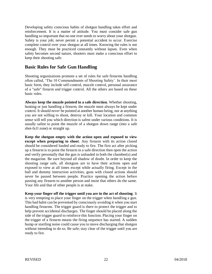Developing safety conscious habits of shotgun handling takes effort and reinforcement. It is a matter of attitude. You must consider safe gun handling so important that no one ever needs to worry about your shotgun. Safety is your job; never permit a potential accident to occur. Exercise complete control over your shotgun at all times. Knowing the rules is not enough. They must be practiced constantly without lapses. Even when safety becomes second nature, shooters must make a conscious effort to keep their shooting safe.

#### **Basic Rules for Safe Gun Handling**

Shooting organizations promote a set of rules for safe firearms handling often called, 'The 10 Commandments of Shooting Safety'. In their most basic form, they include self-control, muzzle control, personal assurance of a "safe" firearm and trigger control. All the others are based on these basic rules.

**Always keep the muzzle pointed in a safe direction.** Whether shooting, hunting or just handling a firearm, the muzzle must always be kept under control. It should *never* be pointed at another human being, nor at anything you are not willing to shoot, destroy or kill. Your location and common sense will tell you which direction is safest under various conditions. It is usually safest to point the muzzle of a shotgun down range (into a safe shot-fa1l zone) or straight up.

**Keep the shotgun empty with the action open and exposed to view except when preparing to shoot**. Any firearm with its action closed should be considered loaded and ready to fire. The first act after picking up a firearm is to point the firearm in a safe direction then open the action and verify personally that the gun is unloaded in both the chamber(s) and the magazine. Be sure beyond all shadow of doubt. In order to keep the shooting range safe, all shotguns are to have their actions open and exposed to view at all times except while actually firing. Except in the ball and dummy instruction activities, guns with closed actions should never be passed between people. Practice opening the action before passing any firearm to another person and insist that others do the same. Your life and that of other people is at stake.

**Keep your finger off the trigger until you are in the act of shooting**. It is very tempting to place your finger on the trigger when handling a gun. This bad habit can be prevented by consciously avoiding it when you start handling firearms. The trigger guard is there to protect the trigger and to help prevent accidental discharges. The finger should be placed along the side of the trigger guard to reinforce this function. Placing your finger on the trigger of a firearm means the firing sequence has started. A sudden bump or startling noise could cause you to move discharging that shotgun without intending to do so. Be safe; stay clear of the trigger until you are ready to fire.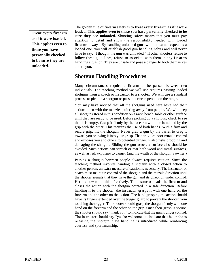**Treat every firearm as if it were loaded. This applies even to those you have personally checked to be sure they are unloaded.**

The golden rule of firearm safety is to **treat every firearm as if it were loaded. This applies even to those you have personally checked to be sure they are unloaded.** Shooting safety means that you must pay attention to detail and show the responsibility needed with loaded firearms always. By handling unloaded guns with the same respect as a loaded one, you will establish good gun handling habits and will never have to say, "I thought the gun was unloaded." If other shooters refuse to follow these guidelines, refuse to associate with them in any firearms handling situation. They are unsafe and pose a danger to both themselves and to you.

## **Shotgun Handling Procedures**

Many circumstances require a firearm to be passed between two individuals. The teaching method we will use requires passing loaded shotguns from a coach or instructor to a shooter. We will use a standard process to pick up a shotgun or pass it between people on the range.

You may have noticed that all the shotguns used here have had their actions open with the muzzles pointing away from people. We will keep all shotguns stored in this condition on a rack, bench, table or other surface until they are ready to be used. Before picking up a shotgun, check to see that it is empty. Grasp it firmly by the forearm with one hand and by the grip with the other. This requires the use of both hands. With a firm and secure grip, lift the shotgun. Never grab a gun by the barrel to drag it toward you or swing it into your grasp. That provides poor muzzle control and exposes you and others to potential danger. It also risks dropping and damaging the shotgun. Sliding the gun across a surface also should be avoided. Such actions can scratch or mar both wood and metal surfaces, as well as risk exposure to danger (and the wrath of the shotgun's owner.)

Passing a shotgun between people always requires caution. Since the teaching method involves handing a shotgun with a closed action to another person, an extra measure of caution is necessary. The instructor or coach must maintain control of the shotgun and the muzzle direction until the shooter signals that they have the gun and its direction under control. Here is how to do this effectively. The instructor loads the firearm and closes the action with the shotgun pointed in a safe direction. Before handing it to the shooter, the instructor grasps it with one hand on the forearm and the other on the action. The hand grasping the action should have its fingers extended over the trigger guard to prevent the shooter from touching the trigger. The shooter should grasp the shotgun firmly with one hand on the forearm and the other on the grip. Once their grasp is secure, the shooter should say "thank you" to indicate that the gun is under control. The instructor should say "you're welcome" to indicate that he or she is releasing the shotgun. Safe handling is introduced while reinforcing courtesy and sportsmanship.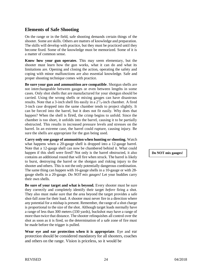#### **Elements of Safe Shooting**

On the range or in the field, safe shooting demands certain things of the shooter. Some are skills. Others are matters of knowledge and preparation. The skills will develop with practice, but they must be practiced until they become fixed. Some of the knowledge must be memorized. Some of it is a matter of common sense.

**Know how your gun operates**. This may seem elementary, but the shooter must learn how the gun works, what it can do and what its limitations are. Opening and closing the action, operating the safety and coping with minor malfunctions are also essential knowledge. Safe and proper shooting technique comes with practice.

**Be sure your gun and ammunition are compatible**. Shotgun shells are not interchangeable between gauges or even between lengths in some cases. Only shot shells that are manufactured for your shotgun should be carried. Using the wrong shells or mixing gauges can have disastrous results. Note that a 3-inch shell fits easily in a  $2^{3}/_4$ -inch chamber. A fired 3-inch case dropped into the same chamber tends to project slightly. It can be forced into the barrel, but it does not fit easily. Why does that happen? When the shell is fired, the crimp begins to unfold. Since the chamber is too short, it unfolds into the barrel, causing it to be partially obstructed. This results in increased pressure levels and stresses on the barrel. In an extreme case, the barrel could rupture, causing injury. Be sure the shells are appropriate for the gun being used.

**Carry only one gauge of ammunition when hunting or shooting.** Watch what happens when a 20-gauge shell is dropped into a 12-gauge barrel. Note that a 12-gauge shell can now be chambered behind it. What could happen if this shell were fired? Not only is the barrel obstructed, it also contains an additional round that will fire when struck. The barrel is likely to burst, destroying the barrel or the shotgun and risking injury to the shooter and others. This is not the only potentially dangerous combination. The same thing can happen with 16-gauge shells in a 10-gauge or with 28 gauge shells in a 20-gauge. *Do NOT mix gauges!* Let your buddies carry their own shells.

**Be sure of your target and what is beyond.** Every shooter must be sure they correctly and completely identify their target *before* firing a shot. They also must make sure that the area beyond the target provides a safe shot-fall zone for their load. A shooter must never fire in a direction where any potential for a mishap is present. Remember, the range of a shot charge is proportional to the size of the shot. Although target loads normally have a range of less than 300 meters (330 yards), buckshot may have a range of more than twice that distance. The shooter relinquishes all control over the shot as soon as it is fired, so the determination of a safe zone of fire must be made before the trigger is pulled.

**Wear eye and ear protection when it is appropriate**. Eye and ear protection should be considered mandatory for all shooters, coaches and others on the range. Vision is priceless, so it would be

**Do NOT mix gauges!**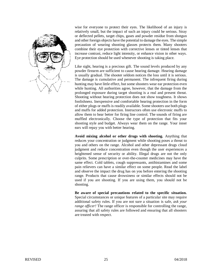

wise for everyone to protect their eyes. The likelihood of an injury is relatively small, but the impact of such an injury could be serious. Stray or deflected pellets, target chips, gases and powder residue from shotgun and other foreign objects have the potential to damage the eyes. The simple precaution of wearing shooting glasses protects them. Many shooters combine their eye protection with corrective lenses or tinted lenses that increase contrast, reduce light intensity, or enhance vision in other ways. Eye protection should be used whenever shooting is taking place.

Like sight, hearing is a precious gift. The sound levels produced by any powder firearm are sufficient to cause hearing damage. Hearing damage is usually gradual. The shooter seldom notices the loss until it is serious. The damage is cumulative and permanent. The infrequent firing during hunting may have little effect, but some shooters wear ear protection even while hunting. All authorities agree, however, that the damage from the prolonged exposure during target shooting is a real and present threat. Shooting without hearing protection does not show toughness. It shows foolishness. Inexpensive and comfortable hearing protection in the form of either plugs or muffs is readily available. Some shooters use both plugs and muffs for added protection. Instructors often use electronic muffs to allow them to hear better for firing line control. The sounds of firing are muffled electronically. Choose the type of protection that fits your shooting style and budget. Always wear them on the range. Your inner ears will repay you with better hearing.

**Avoid mixing alcohol or other drugs with shooting.** Anything that reduces your concentration or judgment while shooting poses a threat to you and others on the range. Alcohol and other depressant drugs cloud judgment and reduce concentration even though the user experiences a heightened sense of security or ability. Illegal drugs are not the only culprits. Some prescription or over-the-counter medicines may have the same effect. Cold tablets, cough suppressants, antihistamines and some pain relievers can have a similar effect on some people. Read the label and observe the impact the drug has on you before entering the shooting range. Products that cause drowsiness or similar effects should not be used if you are shooting. If you are using them, you should not be shooting.

**Be aware of special precautions related to the specific situation.**  Special circumstances or unique features of a particular site may require additional safety rules. If you are not sure a situation is safe, *ask your range officer!* The range officer is responsible for controlling the range, assuring that all safety rules are followed and ensuring that all shooters are treated with respect.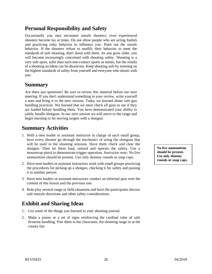## **Personal Responsibility and Safety**

Occasionally you may encounter unsafe shooters; even experienced shooters become lax at times. Do not allow people who are acting foolish and practicing risky behavior to influence you. Point out the unsafe behavior. If the shooters refuse to modify their behavior to meet the standards of safe shooting, don't shoot with them. As you grow older, you will become increasingly concerned with shooting safety. Shooting is a very safe sport, safer than such non-contact sports as tennis; but the results of a shooting accident can be disastrous. Keep shooting safe by insisting on the highest standards of safety from yourself and everyone who shoots with you.

## **Summary**

Are there any questions? Be sure to review this material before our next meeting. If you don't understand something in your review, write yourself a note and bring it to the next session. Today we learned about safe gun handling practices. We learned that we must check all guns to see if they are loaded before handling them. You have demonstrated your ability to safely handle shotguns. In our next session we will move to the range and begin learning to hit moving targets with a shotgun.

## **Summary Activities**

- 1. With a teen leader or assistant instructor in charge of each small group, have every shooter go through the mechanics of using the shotguns that will be used in the shooting sessions. Have them check and clear the shotgun. Then let them load, unload and operate the safety. Use a mousetrap pistol to demonstrate trigger operation. *Instructor note:* No live ammunition should be present. Use only dummy rounds or snap caps.
- 2. Have teen leaders or assistant instructors work with small groups practicing the procedures for picking up a shotgun, checking it for safety and passing it to another person.
- 3. Have teen leaders or assistant instructors conduct an informal quiz over the content of this lesson and the previous one.
- 4. Role play several range or field situations and have the participants discuss safe muzzle directions and other safety considerations.

## **Exhibit and Sharing Ideas**

- 1. List some of the things you learned in your shooting journal.
- 2. Make a poster or a set of signs reinforcing the cardinal rules of safe firearms handling. Post them in the classroom, the shooting range or at the county fair

**No live ammunition should be present. Use only dummy rounds or snap caps.**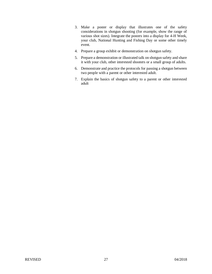- 3. Make a poster or display that illustrates one of the safety considerations in shotgun shooting (for example, show the range of various shot sizes). Integrate the posters into a display for 4-H Week, your club, National Hunting and Fishing Day or some other timely event.
- 4. Prepare a group exhibit or demonstration on shotgun safety.
- 5. Prepare a demonstration or illustrated talk on shotgun safety and share it with your club, other interested shooters or a small group of adults.
- 6. Demonstrate and practice the protocols for passing a shotgun between two people with a parent or other interested adult.
- 7. Explain the basics of shotgun safety to a parent or other interested adult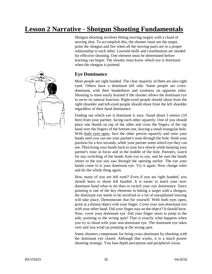# **Lesson 2 Narrative - Shotgun Shooting Fundamentals**



Shotgun shooting involves hitting moving targets with a cloud of moving shot. To accomplish this, the shooter must see the target, point the shotgun and fire when all the moving parts are in a proper relationship to each other. Learned skills and coordination are needed for effective shooting. One element must be determined before learning can begin. The shooter must know which eye is dominant when the shotgun is pointed.

## **Eye Dominance**

Most people are right handed. The clear majority of them are also right eyed. Others have a dominant left side. Some people are crossdominant, with their handedness and eyedness on opposite sides. Shooting is more easily learned if the shooter allows the dominant eye to serve its natural function. Right-eyed people should shoot from the right shoulder and left-eyed people should shoot from the left shoulder regardless of their hand dominance.

Finding out which eye is dominant is easy. Stand about 3 meters (10 feet) from your partner, facing each other squarely. One of you should place one thumb on top of the other and cross the fingers of the top hand over the fingers of the bottom one, leaving a small triangular hole. With both eyes open, face the other person squarely and raise your hands until you can see your partner's nose through the hole. Hold your position for a few seconds, while your partner notes which eye they can see. Then bring your hands back to your face slowly while keeping your partner's nose in focus and in the middle of the hole. Partners, watch for any switching of the hands from eye to eye, and be sure the hands return to the eye you saw through the opening earlier. The eye your hands come to is your dominant eye. Try it again. Now change roles and do the whole thing again.

How many of you are left eyed? Even if you are right handed, you should learn to shoot left handed. It is easier to teach your nondominant hand what to do than to switch your eye dominance. Since pointing is one of the key elements in hitting a target with a shotgun, the dominant eye needs to be involved or a lot of unexplained missing will take place. Demonstrate that for yourself. With both eyes open, point at a distant object with your finger. Cover your non-dominant eye with your other hand. Did your finger stay on the object? It should have. Now, cover your dominant eye. Did your finger seem to jump to the side, pointing to the wrong spot? That is exactly what happens when you try to shoot with your non-dominant eye. The dominant eye takes over and you wind up pointing at the wrong spot.

Some shooters compensate for being cross-dominant by shooting with the dominant eye closed. Although that works, it is a much poorer shooting strategy. You lose depth perception and peripheral vision.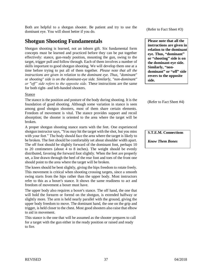Both are helpful to a shotgun shooter. Be patient and try to use the dominant eye. You will shoot better if you do.

## **Shotgun Shooting Fundamentals**

Shotgun shooting is learned, not an inborn gift. Six fundamental form concepts must be learned and practiced before they can be put together effectively: stance, gun-ready position, mounting the gun, swing to the target, trigger pull and follow through. Each of them involves a number of skills important to good shotgun shooting. We will develop them one at a time before trying to put all of them together. *Please note that all the instructions are given in relation* to *the dominant eye. Thus, "dominant"*  or *shooting" side is on the dominant-eye side. Similarly, "non-dominant" or "off" side refers to the opposite side.* These instructions are the same for both right- and left-handed shooters.

#### Stance

The stance is the position and posture of the body during shooting. It is the foundation of good shooting. Although some variation in stance is seen among good shotgun shooters, most of them share certain elements. Freedom of movement is vital. The stance provides support and recoil absorption; the shooter is oriented to the area where the target will be broken.

A proper shotgun shooting stance starts with the feet. One experienced shotgun instructor says, "You may hit the target with the shot, but you miss with your feet." The body should face the area where the target is likely to be broken. The feet should be comfortably set about shoulder width apart. The off foot should be slightly forward of the dominant foot, perhaps 10 to 20 centimeters (about 4 to 8 inches). The weight should be evenly distributed, favoring the forward foot slightly. When the feet are properly set, a line drawn through the heel of the rear foot and toes of the front one should point to the area where the target will be broken.

The knees should be bent slightly, giving the hips freedom to rotate freely. This movement is critical when shooting crossing targets, since a smooth swing starts from the hips rather than the upper body. Most instructors refer to this as a boxer's stance. It shows the same readiness to act and freedom of movement a boxer must have.

The upper body also requires a boxer's stance. The off hand, the one that will hold the forearm or forend on the shotgun, is extended halfway or slightly more. The arm is held nearly parallel with the ground, giving the upper body freedom to move. The dominant hand, the one on the grip and trigger, is held closer to the chest. Most good shooters also raise that elbow to aid in movement.

This stance is the one that will be assumed as the shooter prepares to call for a target with the gun either in the ready position or raised and ready to fire.

(Refer to Fact Sheet #3)

**Please note that all the instructions are given in relation to the dominant eye. Thus, "dominant" or "shooting" side is on the dominant-eye side. Similarly, "nondominant" or "off" side revers to the opposite side.**

(Refer to Fact Sheet #4)

**S.T.E.M. Connections**

*Know Them Bones*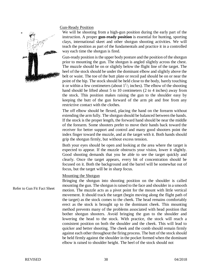# \*

#### Gun-Ready Position

We will be shooting from a high-gun position during the early part of the instruction. A proper **gun-ready position** is essential for hunting, sporting clays, international skeet and other shotgun shooting activities. We will teach the position as part of the fundamentals and practice it in a controlled way each time the shotgun is fired.

Gun-ready position is the upper body posture and the position of the shotgun prior to mounting the gun. The shotgun is angled slightly across the chest. The muzzle should be on or slightly below the flight line of the target. The heel of the stock should be under the dominant elbow and slightly above the belt or waist. The toe of the butt plate or recoil pad should be on or near the point of the hip. The stock should be held close to the body, barely touching it or within a few centimeters (about  $1\frac{1}{2}$  inches). The elbow of the shooting hand should be lifted about 5 to 10 centimeters (2 to 4 inches) away from the stock. This position makes raising the gun to the shoulder easy by keeping the butt of the gun forward of the arm pit and free from any restrictive contact with the clothes.

The off elbow should be flexed, placing the hand on the forearm without extending the arm fully. The shotgun should be balanced between the hands. If the stock is the proper length, the forward hand should be near the middle of the forearm. Some shooters prefer to move their hands back toward the receiver for better support and control and many good shooters point the index finger toward the muzzle, and at the target with it. Both hands should grip the shotgun firmly, but without excess tension.

Both your eyes should be open and looking at the area where the target is expected to appear. If the muzzle obstructs your vision, lower it slightly. Good shooting demands that you be able to see the target quickly and clearly. Once the target appears, every bit of concentration should be focused on it. Both the background and the barrel will be somewhat out of focus, but the target will be in sharp focus.

#### Mounting the Shotgun

Bringing the shotgun into shooting position on the shoulder is called mounting the gun. The shotgun is raised to the face and shoulder in a smooth motion. The muzzle acts as a pivot point for the mount with little vertical movement. It should track the target (begin moving along the flight path of the target) as the stock comes to the cheek. The head remains comfortably erect as the stock is brought up to the dominant cheek. This mounting method prevents many of the problems associated with head position that bother shotgun shooters. Avoid bringing the gun to the shoulder and lowering the head to the stock. With practice, the stock will reach a consistent position on both the shoulder and the cheek. This will lead to quicker and better shooting. The cheek and the comb should remain firmly against each other throughout the firing process. The butt of the stock should be held firmly against the shoulder in the pocket formed when the dominant elbow is raised to shoulder height. The heel of the stock should not Refer to Gun Fit Fact Sheet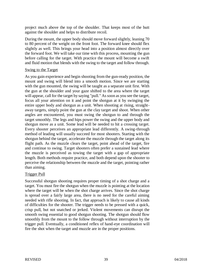project much above the top of the shoulder. That keeps most of the butt against the shoulder and helps to distribute recoil.

During the mount, the upper body should move forward slightly, leaning 70 to 80 percent of the weight on the front foot. The forward knee should flex slightly as well. This brings your head into a position almost directly over the forward foot. We will take our time with this process, mounting the gun before calling for the target. With practice the mount will become a swift and fluid motion that blends with the swing to the target and follow through.

#### Swing to the Target

As you gain experience and begin shooting from the gun-ready position, the mount and swing will blend into a smooth motion. Since we are starting with the gun mounted, the swing will be taught as a separate unit first. With the gun at the shoulder and your gaze shifted to the area where the target will appear, call for the target by saying "pull." As soon as you see the target, focus all your attention on it and point the shotgun at it by swinging the entire upper body and shotgun as a unit. When shooting at rising, straightaway targets, simply point the gun at the clay target and shoot. When other angles are encountered, you must swing the shotgun to and through the target smoothly. The legs and hips power the swing and the upper body and shotgun move as a unit. Some lead will be needed to hit a crossing target. Every shooter perceives an appropriate lead differently. A swing-through method of leading will usually succeed for most shooters. Starting with the shotgun behind the target, accelerate the muzzle through the target along its flight path. As the muzzle clears the target, point ahead of the target, fire and continue to swing. Target shooters often prefer a sustained lead where the muzzle is perceived as towing the target with a gap of appropriate length. Both methods require practice, and both depend upon the shooter to perceive the relationship between the muzzle and the target, pointing rather than aiming.

#### Trigger Pull

Successful shotgun shooting requires proper timing of a shot charge and a target. You must fire the shotgun when the muzzle is pointing at the location where the target will be when the shot charge arrives. Since the shot charge is spread over a fairly large area, there is no need for the careful aiming needed with rifle shooting. In fact, that approach is likely to cause all kinds of difficulties for the shooter. The trigger needs to be pressed with a quick, crisp pull, but not snatched or jerked. Violent movements can disrupt the smooth swing essential to good shotgun shooting. The shotgun should flow smoothly from the mount to the follow through without interruption by the trigger pull. Eventually, a conditioned reflex of hand-eye coordination will fire the shot when the target and muzzle are in the proper positions.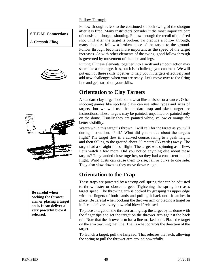#### Follow Through

#### **S.T.E.M. Connections**

*A Catapult Fling*





**Be careful when cocking the thrower arm or placing a target on it. It can deliver a very powerful blow if released.**

Follow through refers to the continued smooth swing of the shotgun after it is fired. Many instructors consider it the most important part of consistent shotgun shooting. Follow through the recoil of the fired shot until after the target is broken. To practice a follow through, many shooters follow a broken piece of the target to the ground. Follow through becomes more important as the speed of the target increases. As with other elements of the swing, good follow through is governed by movement of the hips and legs.

Putting all these elements together into a swift and smooth action may seem like a challenge. It is, but it is a challenge you can meet. We will put each of these skills together to help you hit targets effectively and add new challenges when you are ready. Let's move over to the firing line and get started on your skills.

## **Orientation to Clay Targets**

A standard clay target looks somewhat like a frisbee or a saucer. Other shooting games like sporting clays can use other types and sizes of targets, but we will use the standard trap and skeet target for instructions. These targets may be painted, unpainted or painted only on the dome. Usually they are painted white, yellow or orange for better visibility.

Watch while this target is thrown. I will call for the target as you will during instruction. "Pull." What did you notice about the target's flight? The target flew in a curved course, rising to a peak height, and then falling to the ground about 50 meters (55 yards) away. The target had a straight line of flight. The target was spinning as it flew. Let's watch a few more. Did you notice anything else about these targets? They landed close together, so they had a consistent line of flight. Wind gusts can cause them to rise, fall or curve to one side. They also slow down as they move down range.

## **Orientation to the Trap**

These traps are powered by a strong coil spring that can be adjusted to throw faster or slower targets. Tightening the spring increases target speed. The throwing arm is cocked by grasping its upper edge with the fingers of both hands and pulling it back until it latches in place. Be careful when cocking the thrower arm or placing a target on it. It can deliver a very powerful blow if released.

To place a target on the thrower arm, grasp the target by its dome with the finger tips and set the target on the thrower arm against the back rail. Note that the thrower arm has a line marked on it. Place the target on the arm touching that line. That is what controls the direction of the target.

To launch a target, pull the **lanyard**. That releases the latch, allowing the spring to pull the thrower arm around powerfully.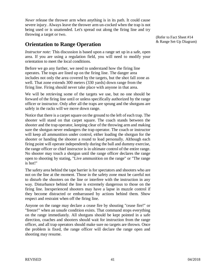*Never* release the thrower arm when anything is in its path. It could cause severe injury. Always leave the thrower arm un-cocked when the trap is not being used or is unattended. Let's spread out along the firing line and try throwing a target or two.

## **Orientation to Range Operation**

*Instructor note:* This discussion is based upon a range set up in a safe, open area. If you are using a regulation field, you will need to modify your orientation to meet the local conditions.

Before we go any further, we need to understand how the firing line operates. The traps are lined up on the firing line. The danger area includes not only the area covered by the targets, but the shot fall zone as well. That zone extends 300 meters (330 yards) down range from the firing line. Firing should never take place with anyone in that area.

We will be retrieving some of the targets we use, but no one should be forward of the firing line until or unless specifically authorized by the range officer or instructor. Only after all the traps are sprung and the shotguns are safely in the racks will we move down range.

Notice that there is a carpet square on the ground to the left of each trap. The shooter will stand on that carpet square. The coach stands between the shooter and the trap operator, keeping clear of the throwing arm and making sure the shotgun never endangers the trap operator. The coach or instructor will keep all ammunition under control, either loading the shotgun for the shooter or handing the shooter a round to load personally. Although each firing point will operate independently during the ball and dummy exercise, the range officer or chief instructor is in ultimate control of the entire range. No shooter may touch a shotgun until the range officer declares the range open to shooting by stating, "Live ammunition on the range" or "The range is hot!"

The safety area behind the tape barrier is for spectators and shooters who are not on the line at the moment. Those in the safety zone must be careful not to disturb the shooters on the line or interfere with the instruction in any way. Disturbance behind the line is extremely dangerous to those on the firing line. Inexperienced shooters may have a lapse in muzzle control if they become distracted or embarrassed by actions behind them. Show respect and restraint when off the firing line.

Anyone on the range may declare a cease fire by shouting "cease fire!" or "freeze!" when an unsafe condition exists. That command stops everything on the range immediately. All shotguns should be kept pointed in a safe direction, coaches and shooters should wait for instruction from the range officer, and all trap operators should make sure no targets are thrown. Once the problem is fixed, the range officer will declare the range open and shooting may resume.

(Refer to Fact Sheet #14 & Range Set-Up Diagram)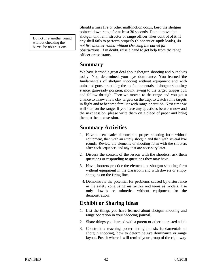Do not fire another round without checking the barrel for obstructions.

Should a miss fire or other malfunction occur, keep the shotgun pointed down range for at least 30 seconds. Do not move the shotgun until an instructor or range officer takes control of it. If any shell fails to perform properly (bloopers or squib loads), *do not fire another round without checking the barrel for obstructions.* If in doubt, raise a hand to get help from the range officer or assistants.

## **Summary**

We have learned a great deal about shotgun shooting and ourselves today. You determined your eye dominance. You learned the fundamentals of shotgun shooting without equipment and with unloaded guns, practicing the six fundamentals of shotgun shooting: stance, gun-ready position, mount, swing to the target, trigger pull and follow through. Then we moved to the range and you got a chance to throw a few clay targets on the trap, to watch some targets in flight and to become familiar with range operation. Next time we will start on the range. If you have any questions between now and the next session, please write them on a piece of paper and bring them to the next session.

## **Summary Activities**

- 1. Have a teen leader demonstrate proper shooting form without equipment, then with an empty shotgun and then with several live rounds. Review the elements of shooting form with the shooters after each sequence, and any that are necessary later.
- 2. Discuss the content of the lesson with the shooters, ask them questions or responding to questions they may have.
- 3. Have shooters practice the elements of shotgun shooting form without equipment in the classroom and with dowels or empty shotguns on the firing line.
- 4. Demonstrate the potential for problems caused by disturbance in the safety zone using instructors and teens as models. Use only dowels or mimetics without equipment for the demonstration.

## **Exhibit or Sharing Ideas**

- 1. List the things you have learned about shotgun shooting and range operation in your shooting journal.
- 2. Share things you learned with a parent or other interested adult.
- 3. Construct a teaching poster listing the six fundamentals of shotgun shooting, how to determine eye dominance or range layout. Post it where it will remind your group of the right way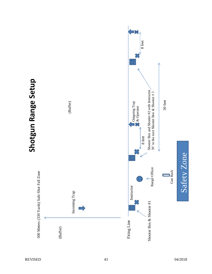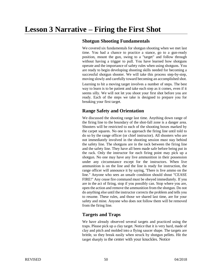## **Shotgun Shooting Fundamentals**

We covered six fundamentals for shotgun shooting when we met last time. You had a chance to practice a stance, go to a gun-ready position, mount the gun, swing to a "target" and follow through without having a trigger to pull. You have learned how shotguns operate and the importance of safety rules when using shotguns. You are ready to begin developing shooting skills needed for becoming a successful shotgun shooter. We will take this process step-by-step, moving slowly and carefully toward becoming an accomplished shot. Learning to hit a moving target involves a number of steps. The best way to learn is to be patient and take each step as it comes, even if it seems silly. We will not let you shoot your first shot before you are ready. Each of the steps we take is designed to prepare you for breaking your first target.

## **Range Safety and Orientation**

We discussed the shooting range last time. Anything down range of the firing line to the boundary of the shot-fall zone is a danger area. Shooters will be restricted to each of the shooting boxes marked by the carpet squares. No one is to approach the firing line until told to do so by the range officer (or chief instructor). All shooters who are not immediately involved in the shooting session must stay behind the safety line. The shotguns are in the rack between the firing line and the safety line. They have all been made safe before being put in the rack. Only the instructor for each firing point may pick up a shotgun. No one may have any live ammunition in their possession under any circumstance except for the instructors. When live ammunition is on the line and the line is ready for instruction, the range officer will announce it by saying, 'There is live ammo on the line." Anyone who sees an unsafe condition should shout "CEASE FIRE!" Any cease fire command must be obeyed immediately. If you are in the act of firing, stop if you possibly can. Stop where you are, open the action and remove the ammunition from the shotgun. Do not do anything else until the instructor corrects the problem and tells you to resume. These rules, and those we shared last time, are for your safety and mine. Anyone who does not follow them will be removed from the firing line.

## **Targets and Traps**

We have already observed several targets and practiced using the traps. Please pick up a clay target. Notice that it is very hard, made of clay and pitch and molded into a flying saucer shape. The targets are brittle, so they break easily when struck by shotgun pellets. Hit the target sharply in the center with your knuckles. Notice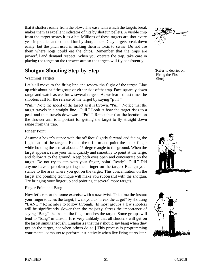that it shatters easily from the blow. The ease with which the targets break makes them as excellent indicator of hits by shotgun pellets. A visible chip from the target scores it as a hit. Millions of these targets are shot every year in practice and competition by shotgunners. Clay targets break down easily, but the pitch used in making them is toxic to swine. Do not use them where hogs could eat the chips. Remember that the traps are powerful and demand respect. When you operate the trap, take care in placing the target on the thrower arm so the targets will fly consistently.

## **Shotgun Shooting Step-by-Step**

#### Watching Targets

Let's all move to the firing line and review the flight of the target. Line up with about half the group on either side of the trap. Face squarely down range and watch as we throw several targets. As we learned last time, the shooters call for the release of the target by saying "pull."

"Pull." Note the speed of the target as it is thrown. "Pull." Notice that the target travels in a straight line. "Pull." Look at how the target rises to a peak and then travels downward. "Pull." Remember that the location on the thrower arm is important for getting the target to fly straight down range from the trap.

#### Finger Point

Assume a boxer's stance with the off foot slightly forward and facing the flight path of the targets. Extend the off arm and point the index finger while holding the arm at about a 45-degree angle to the ground. When the target appears, raise your hand quickly and smoothly to point at the target and follow it to the ground. Keep both eyes open and concentrate on the target. Do not try to aim with your finger, point! Ready? "Pull." Did anyone have a problem getting their finger on the target? Realign your stance to the area where you got on the target. This concentration on the target and pointing technique will make you successful with the shotgun. Try bringing your finger up and pointing at several more targets.

#### Finger Point and Bang!

Now let's repeat the same exercise with a new twist. This time the instant your finger touches the target, I want you to "break the target" by shouting "BANG!" Remember to follow through. [In most groups a few shooters will be significantly slower than the majority. Stress the importance of saying "Bang" the instant the finger touches the target. Some groups will tend to "bang" in unison. It is very unlikely that all shooters will get on the target simultaneously. Emphasize that they should say bang when they get on the target, not when others do so.] This process is programming your mental computer to perform instinctively when live firing starts later.



(Refer to debrief on Firing the First Shot)



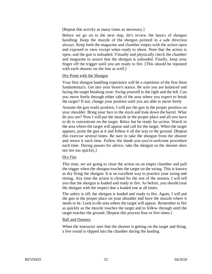[Repeat this activity as many times as necessary.]

Before we go on to the next step, let's review the basics of shotgun handling. Keep the muzzle of the shotgun pointed in a safe direction always. Keep both the magazine and chamber empty with the action open and exposed to view except when ready to shoot. Note that the action is open, and the gun is unloaded. Visually and physically check the chamber and magazine to assure that the shotgun is unloaded. Finally, keep your finger off the trigger until you are ready to fire. [This should be repeated with each shooter on the line as well.]

#### Dry Point with the Shotgun

Your first shotgun handling experience will be a repetition of the first three fundamenta1s. Get into your boxer's stance. Be sure you are balanced and facing the target breaking zone. Swing yourself to the right and the left. Can you move freely through either side of the area where you expect to break the target? If not, change your position until you are able to move freely

Assume the gun ready position. I will put the gun in the proper position on your shoulder. Bring your face to the stock and look down the barrel. What do you see? Now I will put the muzzle in the proper place and all you have to do is concentrate on the target. Relax but be ready for action. Watch in the area where the target will appear and call for the target. When the target appears, point the gun at it and follow it all the way to the ground. [Repeat this exercise several times. Be sure to take the shotgun from the shooter and return it each time. Follow the thank-you-you're-welcome procedure each time. During pauses for advice, take the shotgun so the shooter does not tire too quickly.]

#### Dry Fire

This time, we are going to close the action on an empty chamber and pull the trigger when the shotgun touches the target on the swing. This is known as dry firing the shotgun. It is an excellent way to practice your swing and timing. Any time the action is closed for the rest of the session, I will tell you that the shotgun is loaded and ready to fire. As before, you should treat the shotgun with the respect due a loaded one at all times.

The safety is off; the shotgun is loaded and ready to fire. Again, I will put the gun in the proper place on your shoulder and have the muzzle where it needs to be. Look to the area where the target will appear. Remember to fire as quickly as the muzzle touches the target and to follow through until the target touches the ground. [Repeat this process four or five times.]

#### Ball and Dummy

When the instructor sees that the shooter is getting on the target and firing, a live round is slipped into the chamber during the loading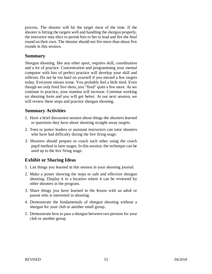process. The shooter will hit the target most of the time. If the shooter is hitting the targets well and handling the shotgun properly, the instructor may elect to permit him or her to load and fire the final round on their own. The shooter should not fire more than about five rounds in this session.

#### **Summary**

Shotgun shooting, like any other sport, requires skill, coordination and a lot of practice. Concentration and programming your mental computer with lots of perfect practice will develop your skill and reflexes. Do not be too hard on yourself if you missed a few targets today. Everyone misses some. You probably feel a little tired. Even though we only fired five shots, you "fired" quite a few more. As we continue to practice, your stamina will increase. Continue working on shooting form and you will get better. At our next session, we will review these steps and practice shotgun shooting.

#### **Summary Activities**

- 1. Have a brief discussion session about things the shooters learned or questions they have about shooting straight-away targets.
- 2. Teen or junior leaders or assistant instructors can tutor shooters who have had difficulty during the live firing stage.
- 3. Shooters should prepare to coach each other using the coach pupil method in later stages. In this session, the technique can be used up to the live firing stage.

## **Exhibit or Sharing Ideas**

- 1. List things you learned in this session in your shooting journal.
- 2. Make a poster showing the steps to safe and effective shotgun shooting. Display it in a location where it can be reviewed by other shooters in the program.
- 3. Share things you have learned in the lesson with an adult or parent who is interested in shooting.
- 4. Demonstrate the fundamentals of shotgun shooting without a shotgun for your club or another small group.
- 5. Demonstrate how to pass a shotgun between two persons for your club or another group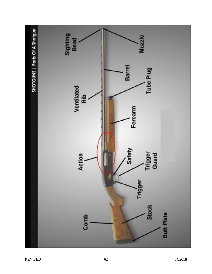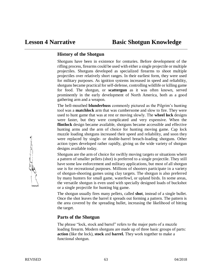## **History of the Shotgun**

Shotguns have been in existence for centuries. Before development of the rifling process, firearms could be used with either a single projectile or multiple projectiles. Shotguns developed as specialized firearms to shoot multiple projectiles over relatively short ranges. In their earliest form, they were used for military purposes. As ignition systems increased in speed and reliability, shotguns became practical for self-defense, controlling wildlife or killing game for food. The shotgun, or **scattergun** as it was often known, served prominently in the early development of North America, both as a good gathering arm and a weapon.

The bell-mouthed **blunderbuss** commonly pictured as the Pilgrim's hunting tool was a **matchlock** arm that was cumbersome and slow to fire. They were used to hunt game that was at rest or moving slowly. The **wheel lock** designs were faster, but they were complicated and very expensive. When the **flintlock** design became available, shotguns became accessible and effective hunting arms and the arm of choice for hunting moving game. Cap lock muzzle loading shotguns increased their speed and reliability, and soon they were replaced by single- or double-barrel breach-loading shotguns. Other action types developed rather rapidly, giving us the wide variety of shotgun designs available today.

Shotguns are the arm of choice for swiftly moving targets or situations where a pattern of smaller pellets (shot) is preferred to a single projectile. They still have some law enforcement and military applications, but most of all shotgun use is for recreational purposes. Millions of shooters participate in a variety of shotgun-shooting games using clay targets. The shotgun is also preferred by many hunters for small game, waterfowl, or upland birds. In some areas, the versatile shotgun is even used with specially designed loads of buckshot or a single projectile for hunting big game.

The shotgun usually fires many pellets, called **shot**, instead of a single bullet. Once the shot leaves the barrel it spreads out forming a pattern. The pattern is the area covered by the spreading bullet, increasing the likelihood of hitting the target.

## **Parts of the Shotgun**

The phrase "lock, stock and barrel" refers to the major parts of a muzzle loading firearm. Modern shotguns are made up of three basic groups of parts: **action** (like the lock), **stock** and **barrel.** They work together to make a functional shotgun.

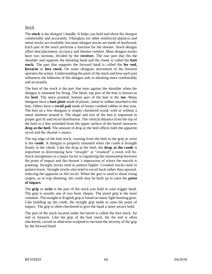#### Stock

The **stock** is the shotgun's handle. It helps you hold and shoot the shotgun comfortably and accurately. Fiberglass (or other reinforced plastics) and metal stocks are available, but most shotgun stocks are made of hardwood. Each part of the stock performs a function for the shooter. Stock designs affect shot placement, accuracy and shooter comfort. Most shotgun stocks have two sections, divided by the **receiver.** The rear part that fits the shoulder and supports the shooting hand and the cheek is called the **butt stock.** The part that supports the forward hand is called the **for end, forearm** or **fore stock.** On some shotguns movement of the forearm operates the action. Understanding the parts of the stock and how each part influences the behavior of the shotgun aids in shooting more comfortably and accurately.

The butt of the stock is the part that rests against the shoulder when the shotgun is mounted for firing. The blunt, top part of the butt is known as the **heel**. The more pointed, bottom part of the butt is the **toe.** Many shotguns have a **butt plate** made of plastic, metal or rubber attached to the butt. Others have a **recoil pad** made of honey combed rubber in that area. The butt on a few shotguns is simply checkered wood, with or without a metal skeleton around it. The shape and size of the butt is important in proper gun fit and recoil distribution. The vertical distance from the top of the heel to a line extended from the upper surface of the barrel measures **drop at the heel.** The amount of drop at the heel affects both the apparent recoil and the shooter's stance.

The top edge of the butt stock, running from the heel to the grip or wrist is the **comb.** A shotgun is properly mounted when the comb is brought firmly to the cheek. Like the drop at the heel, the **drop at the comb** is important in determining how "straight" or "crooked" a stock will be. Stock straightness is a major factor in regulating the relationship between the point of impact and the shooter's impression of where the muzzle is pointing. Straight stocks tend to pattern higher. Crooked stocks tend to pattern lower. Straight stocks also tend to recoil back rather than upward, reducing the apparent or felt recoil. When the gun is used to shoot rising targets, as in trap shooting, the comb may be built up to raise the **point of impact.**

The **grip** or **wrist** is the part of the stock you hold in your trigger hand. The grip is usually one of two basic shapes. The pistol grip is the most common. The straight or English grip is found on many light-hunting guns. Like building up the comb, the straight grip tends to raise the point of impact. The grip is often checkered to give the hand a more secure hold.

The part of the stock located under the barrel is called the fore stock, for end or forearm. Like the grip of the butt stock, the for end is often checkered, carved or otherwise sculpted to increase the security of the grip by the forward hand.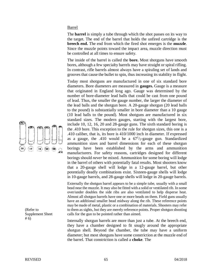Barrel

The **barrel** is simply a tube through which the shot passes on its way to the target. The end of the barrel that holds the unfired cartridge is the **breech end.** The end from which the fired shot emerges is the **muzzle**. Since the muzzle points toward the impact area, muzzle direction must be controlled at all times to ensure safety.

The inside of the barrel is called the **bore.** Most shotguns have smooth bores, although a few specialty barrels may have straight or spiral rifling. In contrast, rifle barrels almost always have a spiraling set of lands and grooves that cause the bullet to spin, thus increasing its stability in flight.

Today most shotguns are manufactured in one of six standard bore diameters. Bore diameters are measured in **gauges.** Gauge is a measure that originated in England long ago. Gauge was determined by the number of bore-diameter lead balls that could be cast from one pound of lead. Thus, the smaller the gauge number, the larger the diameter of the lead balls and the shotgun bore. A 20-gauge shotgun (20 lead balls to the pound) is substantially smaller in bore diameter than a 10 gauge (10 lead balls to the pound). Most shotguns are manufactured in six standard sizes. The modern gauges, starting with the largest bore, include 10, 12, 16, 20 and 28-gauge guns. The sixth standard boring is the .410 bore. This exception to the rule for shotgun sizes, this one is a .410 caliber, that is, its bore is 410/1000 inch in diameter. If expressed as a gauge, the .410 would be a  $67<sup>1</sup>/2$ -gauge gun. Standardized ammunition sizes and barrel dimensions for each of these shotgun borings have been established by the arms and ammunition manufacturers. For safety reasons, cartridges designed for different borings should *never* be mixed. Ammunition for some boring will lodge in the barrel of others with potentially fatal results. Most shooters know that a 20-gauge shell will lodge in a 12-gauge barrel, but other potentially deadly combinations exist. Sixteen-gauge shells will lodge in 10-gauge barrels, and 28-gauge shells will lodge in 20-gauge barrels.

Externally the shotgun barrel appears to be a simple tube, usually with a small bead near the muzzle. It may also be fitted with a solid or ventilated rib. In some over/under doubles the side ribs are also ventilated to help disperse heat. Almost all shotgun barrels have one or more beads on them. Field guns usually have an additional smaller bead midway along the rib. These reference points may be made of metal, plastic or a combination of materials. Shooters may refer to them as sights, but they are merely reference points. Proper shotgun shooting calls for the gun to be pointed rather than aimed.

Internally shotgun barrels are more than just a tube. At the breech end, they have a chamber designed to fit snugly around the appropriate shotgun shell. Beyond the chamber, the tube may have a uniform diameter; but most shotguns have some constriction at the muzzle end of the barrel. That constriction is called a **choke**. The



(Refer to Supplement Sheet # 6)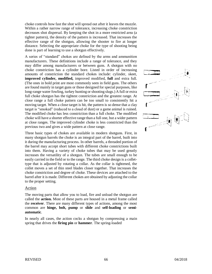choke controls how fast the shot will spread out after it leaves the muzzle. Within a rather narrow range of tolerance, increasing choke constriction decreases shot dispersal. By keeping the shot in a more restricted area (a tighter pattern), the density of the pattern is increased. That increases the effective range of the shotgun, allowing the shooter to fire at longer distance. Selecting the appropriate choke for the type of shooting being done is part of learning to use a shotgun effectively.

A series of "standard" chokes are defined by the arms and ammunition manufacturers. These definitions include a range of tolerance, and they may differ among manufacturers or between guns. A shotgun with no choke constriction has a cylinder bore. Listed in order of increasing amounts of constriction the standard chokes include: cylinder, skeet, **improved cylinder, modified,** improved modified, **full** and extra full. (The ones in bold print are most commonly seen in field guns. The others are found mainly in target guns or those designed for special purposes, like long-range water fowling, turkey hunting or shooting slugs.) A full or extra full choke shotgun has the tightest constriction and the greatest range. At close range a full choke pattern can be too small to consistently hit a moving target. When a close target is hit, the pattern is so dense that a clay target is "smoked" (reduced to a cloud of dust) or a game animal is ruined. The modified choke has less constriction than a full choke. The modified choke will have a shorter effective range than a full one, but a wider pattern at close ranges. The improved cylinder choke is less constricted than the previous two and gives a wide pattern at close range.

Three basic types of chokes are available in modern shotguns. First, in many shotgun barrels the choke is an integral part of the barrel, built into it during the manufacturing process. In other barrels, a threaded portion of the barrel may accept short tubes with different choke constrictions built into them. Having a variety of choke tubes that may be used greatly increases the versatility of a shotgun. The tubes are small enough to be easily carried in the field or to the range. The third choke design is a collettype that is adjusted by rotating a collar. As the collar is tightened, the collet moves a set of thin steel blades closer together. That increases the choke constriction and degree of choke. These devices are attached to the barrel after it is made. Different chokes are obtained by adjusting the collar to the proper setting.

#### Action

The moving parts that allow you to load, fire and unload the shotgun are called the **action.** Most of these parts are housed in a metal frame called the **receiver**. There are many different types of actions, among the most common are **hinge, bolt, pump** or **slide** and **self-loading** or **semiautomatic**.

In nearly all cases, the action cocks a shotgun by compressing a main spring that drives the **firing pin** or **hammer**. The spring-loaded

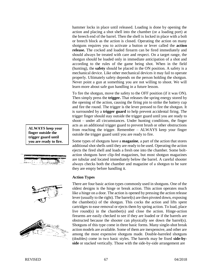hammer locks in place until released. Loading is done by opening the action and placing a shot shell into the chamber (or a loading port) at the breech end of the barrel. Then the shell is locked in place with a bolt or breech block as the action is closed. Operating the action on many shotguns requires you to activate a button or lever called the **action release.** The cocked and loaded firearm can be fired immediately and should always be treated with care and respect. On a target range, the shotgun should be loaded only in immediate anticipation of a shot and according to the rules of the game being shot. When in the field (hunting), the **safety** should be placed in the ON position. A safety is a mechanical device. Like other mechanical devices it may fail to operate properly. Ultimately safety depends on the person holding the shotgun. Never point a gun at something you are not willing to shoot. We will learn more about safe gun handling in a future lesson.

To fire the shotgun, move the safety to the OFF position (if it was ON). Then simply press the **trigger.** That releases the spring energy stored by the opening of the action, causing the firing pin to strike the battery cup and fire the round. The trigger is the lever pressed to fire the shotgun. It is surrounded by a **trigger guard** to help prevent accidental firing. The trigger finger should stay outside the trigger guard until you are ready to shoot – under all circumstances. Under hunting conditions, the finger acts as an additional trigger guard to prevent brush or other obstructions from reaching the trigger. Remember – ALWAYS keep your finger outside the trigger guard until you are ready to fire.

Some types of shotguns have a **magazine**, a part of the action that stores additional shot shells until they are ready to be used. Operating the action ejects the fired shell and loads a fresh one into the chamber. Some boltaction shotguns have clip-fed magazines, but most shotgun magazines are tubular and located immediately below the barrel. A careful shooter always checks both the chamber and magazine of a shotgun to be sure they are empty before handling it.

#### **Action Types**

There are four basic action types commonly used in shotguns. One of the oldest designs is the hinge or break action. This action operates much like a hinge on a door. The action is opened by pressing the action release lever (usually to the right). The barrel(s) are then pivoted down, exposing the chamber(s) of the shotgun. This cocks the action and lifts spent cartridges to ease removal or ejects them by spring action. To load, place live round(s) in the chamber(s) and close the action. Hinge-action firearms are easily checked to see if they are loaded or if the barrels are obstructed because the shooter can physically see down the barrel(s). Shotguns of this type come in three basic forms. Many single-shot break action models are available. Some of them are inexpensive, and other are among the most expensive shotguns made. Double-barreled shotguns (doubles) come in two basic styles. The barrels may be fixed **side-byside** or stacked vertically. Those with the side-by-side arrangement are

**ALWAYS keep your finger outside the trigger guard until you are ready to fire.**





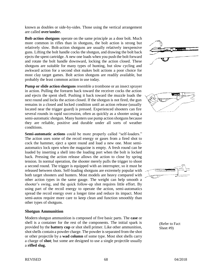known as doubles or side-by-sides. Those using the vertical arrangement are called **over/under.**

**Bolt-action shotguns** operate on the same principle as a door bolt. Much more common in rifles than in shotguns, the bolt action is strong but relatively slow. Bolt-action shotguns are usually relatively inexpensive guns. Lifting the bolt handle cocks the shotgun, and drawing the bolt back ejects the spent cartridge. A new one loads when you push the bolt forward and rotate the bolt handle downward, locking the action closed. These shotguns are suitable for many types of hunting, but slow cycling and awkward action for a second shot makes bolt actions a poor choice for most clay target games. Bolt action shotguns are readily available, but probably the least common action in use today.

**Pump or slide action shotguns** resemble a trombone or an insect sprayer in action. Pulling the forearm back toward the receiver cocks the action and ejects the spent shell. Pushing it back toward the muzzle loads the next round and locks the action closed. If the shotgun is not fired, the gun remains in a closed and locked condition until an action release (usually located near the trigger guard) is pressed. Experienced shooters can fire several rounds in rapid succession, often as quickly as a shooter using a semi-automatic shotgun. Many hunters use pump action shotguns because they are reliable, positive and durable under all sorts of weather conditions.

**Semi-automatic actions** could be more properly called "self-loaders." The action uses some of the recoil energy or gases from a fired shot to cock the hammer, eject a spent round and load a new one. Most semiautomatics lock open when the magazine is empty. A fresh round can be loaded by inserting a shell into the loading port when the bolt is locked back. Pressing the action release allows the action to close by spring tension. In normal operation, the shooter merely pulls the trigger to shoot a second round. The trigger is equipped with an interrupter, so it must be released between shots. Self-loading shotguns are extremely popular with both target shooters and hunters. Most models are heavy compared with other action types in the same gauge. The weight can help smooth a shooter's swing, and the quick follow-up shot requires little effort. By using part of the recoil energy to operate the action, semi-automatics spread the recoil energy over a longer time and reduce its impact. Most semi-autos require more care to keep clean and function smoothly than other types of shotguns.

#### **Shotgun Ammunition**

Modern shotgun ammunition is composed of five basic parts. The **case** or shell is a container for the rest of the components. The initial spark is provided by the **battery cup** or shot shell primer. Like other ammunition, shot shells contain a powder charge. The powder is separated from the shot or other projectile by a **wad column** of some type. Most shot shells carry a charge of **shot**; but some are designed to use a single projectile usually a **rifled slug.**







(Refer to Fact Sheet #9)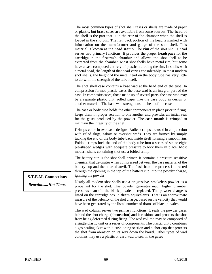The most common types of shot shell cases or shells are made of paper or plastic, but brass cases are available from some sources. The **head** of the shell is the part that is in the rear of the chamber when the shell is loaded in the shotgun. The flat, back portion of the head is marked with information on the manufacturer and gauge of the shot shell. This material is known as the **head stamp**. The **rim** of the shot shell's head serves two primary functions. It provides the proper **headspace** for the cartridge in the firearm's chamber and allows the shot shell to be extracted from the chamber. Most shot shells have metal rim, but some have a case composed entirely of plastic including the rim. In shells with a metal head, the length of that head varies considerably. In most modern shot shells, the height of the metal head on the body tube has very little to do with the strength of the tube itself.

The shot shell case contains a base wad at the head end of the tube. In compression-formed plastic cases the base wad is an integral part of the case. In composite cases, those made up of several parts, the base wad may be a separate plastic unit, rolled paper like the case body in design or another material. The base wad strengthens the head of the case.

The case or body tube holds the other components in place prior to firing, keeps them in proper relation to one another and provides an initial seal for the gases produced by the powder. The **case mouth** is crimped to maintain the integrity of the shell.

**Crimps** come in two basic designs. Rolled crimps are used in conjunction with rifled slugs, sabots or overshot wads. They are formed by simply tucking the end of the body tube back inside itself forming a smooth rim. Folded crimps lock the end of the body tube into a series of six or eight pie-shaped wedges with adequate pressure to lock them in place. Most modern shells containing shot use a folded crimp.

The battery cup is the shot shell primer. It contains a pressure sensitive chemical that detonates when compressed between the base material of the battery cup and the internal anvil. The flash from the process is directed through the opening in the top of the battery cup into the powder charge, igniting the powder.

Nearly all modern shot shells use a progressive, smokeless powder as a propellant for the shot. This powder generates much higher chamber pressures than did the black powder it replaced. The powder charge is listed on the cartridge box in **dram equivalents**. That is an approximate measure of the velocity of the shot charge, based on the velocity that would have been generated by the listed number of drams of black powder.

The wad column serves two primary functions. It seals the powder gases behind the shot charge (**obturation**) and it cushions and protects the shot from being deformed during firing. The wad column may be composed of a single plastic unit or a series of components. The plastic unity combines a gas-sealing skirt with a cushioning section and a shot cup that protects the shot from abrasion on its way down the barrel. Other types of wad columns may use a plastic or card wad to seal in the gases

#### **S.T.E.M. Connections**

*Reactions...Hot Times*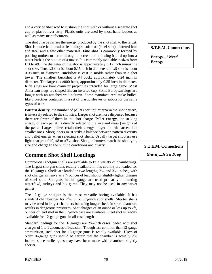and a cork or fiber wad to cushion the shot with or without a separate shot cup or plastic liver strip. Plastic units are used by most hand loaders as well as many manufacturers.

The shot charge carries the energy produced by the shot shell to the target. Shot is made from lead or lead alloys, soft iron (steel shot), sintered lead and steel and a few other materials. **Fine shot** is commonly formed by pouring molten material through a screen and allowing it to drop into a water bath at the bottom of a tower. It is commonly available in sizes from BB to #9. The diameter of the shot is approximately 0.17 inch minus the shot size. Thus, #2 shot is about 0.15 inch in diameter and #9 shot is about 0.08 inch in diameter. **Buckshot** is cast in molds rather than in a shot tower. The smallest buckshot is #4 buck, approximately 0.24 inch in diameter. The largest is #000 buck, approximately 0.35 inch in diameter. Rifle slugs are bore diameter projectiles intended for large game. Most American slugs are shaped like an inverted cup. Some European slugs are longer with an attached wad column. Some manufacturers make bulletlike projectiles contained in a set of plastic sleeves or sabots for the same types of uses.

**Pattern density**, the number of pellets per unit or area in the shot pattern, is inversely related to the shot size. Larger shot are more dispersed because there are fewer of them in the shot charge. **Pellet energy**, the striking energy of each pellet, is directly related to the size and mass (weight) of the pellet. Larger pellets retain their energy longer and hit harder than smaller ones. Shotgunners must strike a balance between pattern diversity and pellet energy when selecting shot shells. Usually target shooters use light charges of #9, #8 or  $#7<sup>1</sup>/2$  shot. Shotgun hunters match the shot type, size and charge to the hunting conditions and quarry.

## **Common Shot Shell Loadings**

Commercial shotgun shells are available to fit a variety of chamberings. The largest shotgun shells readily available in this country are loaded for the 10 gauges. Shells are loaded in two lengths,  $2^{7}/_8$  and  $3^{1}/_2$  inches, with shot charges as heavy as  $2^{1/2}$  ounces of lead shot or slightly lighter charges of steel shot. Shotguns in this gauge are used primarily in hunting waterfowl, turkeys and big game. They may not be used in any target games.

The 12-gauge shotgun is the most versatile boring available. It has standard chamberings for  $2^3/4$ , 3, or  $3^1/2$ -inch shot shells. Shorter shells may be used in longer chambers but using longer shells in short chambers results in dangerous pressures. Shot charges of an ounce or less up to  $2^{1/2}$ ounces of lead shot in the  $3<sup>1</sup>/2$ -inch case are available. Steel shot is readily available for 12-gauge guns in all case lengths.

Standard loadings for the 16 gauges are  $2^3/4$ -inch cases loaded with shot charges of 1 to  $1\frac{1}{4}$  ounces of lead shot. Though less common than 12-gauge ammunition, steel shot for 16-gauge guns is readily available. Users of older 16-gauge guns should be certain that the chamber is actually  $2^{3}/_{4}$ inches, since earlier guns may have been made with chambers slightly shorter.

#### **S.T.E.M. Connections**

*Energy...I Need Energy*

**S.T.E.M. Connections** 

*Gravity...It's a Drag*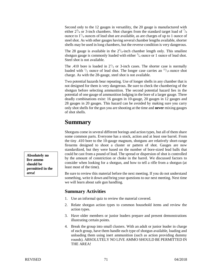Second only to the 12 gauges in versatility, the 20 gauge is manufactured with either  $2^3/4$  or 3-inch chambers. Shot charges from the standard target load of  $\frac{7}{8}$ ounce to  $1\frac{1}{4}$  ounces of lead shot are available, as are charges of up to 1 ounce of steel shot. As with other gauges having several chamber lengths available, shorter shells may be used in long chambers, but the reverse condition is very dangerous.

The 28 gauge is available in the  $2^{3}/_{4}$ -inch chamber length only. This smallest shotgun gauge is commonly loaded with either  $\frac{3}{4}$  ounce or 1 ounce of lead shot. Steel shot is not available.

The .410 bore is loaded in  $2^{1/2}$  or 3-inch cases. The shorter case is normally loaded with  $\frac{1}{2}$  ounce of lead shot. The longer case carries an  $\frac{11}{16}$  ounce shot charge. As with the 28-gauge, steel shot is not available.

Two potential hazards bear repeating. Use of longer shells in any chamber that is not designed for them is very dangerous. Be sure to check the chambering of the shotgun before selecting ammunition. The second potential hazard lies in the potential of one gauge of ammunition lodging in the bore of a larger gauge. Three deadly combinations exist: 16 gauges in 10-gauge, 20 gauges in 12 gauges and 28 gauges in 20 gauges. This hazard can be avoided by making sure you carry only shot shells for the gun you are shooting at the time and **never** mixing gauges of shot shells.

## **Summary**

Shotguns come in several different borings and action types, but all of them share some common parts. Everyone has a stock, action and at least one barrel. From the tiny .410 bore to the 10-gauge magnum, shotguns are relatively short-range firearms designed to shoot a cluster or pattern of shot. Gauges are now standardized, but they were based on the number of bore-sized lead balls that could be cast from a pound of lead. The spread or dispersion of shot is controlled by the amount of constriction or choke in the barrel. We discussed factors to consider when looking for a shotgun, and how to tell a rifle from a shotgun (at least most of the time).

Be sure to review this material before the next meeting. If you do not understand something, write it down and bring your questions to our next meeting. Next time we will learn about safe gun handling.

## **Summary Activities**

- 1. Use an informal quiz to review the material covered.
- 2. Relate shotgun action types to common household items and review the action types.
- 3. Have older members or junior leaders prepare and present demonstrations illustrating certain points.
- 4. Break the group into small clusters. With an adult or junior leader in charge of each group, have them handle each type of shotgun available, loading and unloading them using inert ammunition (such as action providing dummy rounds). ABSOLUTELY NO LIVE AMMO SHOULD BE PERMITTED IN THE AREA!

**Absolutely no live ammo should be permitted in the area!**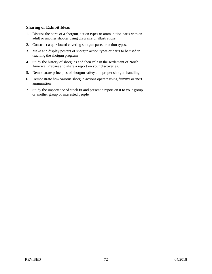#### **Sharing or Exhibit Ideas**

- 1. Discuss the parts of a shotgun, action types or ammunition parts with an adult or another shooter using diagrams or illustrations.
- 2. Construct a quiz board covering shotgun parts or action types.
- 3. Make and display posters of shotgun action types or parts to be used in teaching the shotgun program.
- 4. Study the history of shotguns and their role in the settlement of North America. Prepare and share a report on your discoveries.
- 5. Demonstrate principles of shotgun safety and proper shotgun handling.
- 6. Demonstrate how various shotgun actions operate using dummy or inert ammunition.
- 7. Study the importance of stock fit and present a report on it to your group or another group of interested people.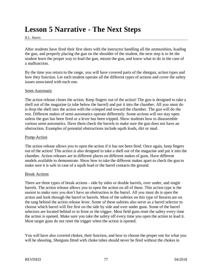# **Lesson 5 Narrative - The Next Steps**

#### R.L. Harris

After students have fired their first shots with the instructor handling all the ammunition, loading the gun, and properly placing the gun on the shoulder of the student, the next step is to let the student learn the proper way to load the gun, mount the gun, and know what to do in the case of a malfunction.

By the time you return to the range, you will have covered parts of the shotgun, action types and how they function. Let each student operate all the different types of actions and cover the safety issues associated with each one.

#### Semi-Automatic

The action release closes the action. Keep fingers out of the action! The gun is designed to take a shell out of the magazine (a tube below the barrel) and put it into the chamber. All you must do is drop the shell into the action with the crimped end toward the chamber. The gun will do the rest. Different makes of semi-automatics operate differently. Some actions will not stay open unless the gun has been fired or a lever has been tripped. Show students how to disassemble various semi-automatics. Have them check the barrels to make sure the gun does not have an obstruction. Examples of potential obstructions include squib loads, dirt or mud.

#### Pump-Action

The action release allows you to open the action if it has not been fired. Once again, keep fingers out of the action! This action is also designed to take a shell out of the magazine and put it into the chamber. Action releases are in different places on different makes of guns. Have different models available to demonstrate. Show how to take the different makes apart to check the gun to make sure it is safe in case of a squib load or the barrel contacts the ground.

#### Break Actions

There are three types of break actions - side by sides or double barrels, over under, and single barrels. The action release allows you to open the action on all of these. This action type is the easiest to make sure you don't have an obstruction in the barrel. All you must do is open the action and look through the barrel or barrels. Most of the safeties on this type of firearm are on the tang behind the action release lever. Some of these safeties also serve as a barrel selector to choose which barrel will fire first on the side by side and over under guns. Some of the barrel selectors are located behind or in front or the trigger. Most field guns reset the safety every time the action is opened. Make sure you take the safety off every time you open the action to load it. Most target guns do not reset the trigger when the action is opened.

You will have also covered chokes, their function, and how to choose the proper one for what you will be shooting. Shotguns fitted with choke tubes should never be fired without the chokes in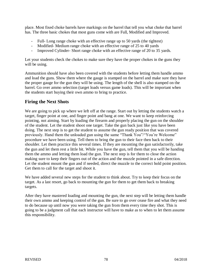place. Most fixed choke barrels have markings on the barrel that tell you what choke that barrel has. The three basic chokes that most guns come with are Full, Modified and Improved.

- Full- Long range choke with an effective range up to 50 yards (the tightest)
- Modified-Medium range choke with an effective range of 25 to 40 yards
- Improved Cylinder- Short range choke with an effective range of 20 to 35 yards.

Let your students check the chokes to make sure they have the proper chokes in the guns they will be using.

Ammunition should have also been covered with the students before letting them handle ammo and load the guns. Show them where the gauge is stamped on the barrel and make sure they have the proper gauge for the gun they will be using. The length of the shell is also stamped on the barrel. Go over ammo selection (target loads versus game loads). This will be important when the students start buying their own ammo to bring to practice.

## **Firing the Next Shots**

We are going to pick up where we left off at the range. Start out by letting the students watch a target, finger point at one, and finger point and bang at one. We want to keep reinforcing pointing, not aiming. Start by loading the firearm and properly placing the gun on the shoulder of the student. Let the student shoot one target. Take the gun back just like you have been doing. The next step is to get the student to assume the gun ready position that was covered previously. Hand them the unloaded gun using the same "Thank You"/"You're Welcome" procedure we have been using. Tell them to bring the gun to their face then back to their shoulder. Let them practice this several times. If they are mounting the gun satisfactorily, take the gun and let them rest a little bit. While you have the gun, tell them that you will be handing them the ammo and letting them load the gun. The next step is for them to close the action making sure to keep their fingers out of the action and the muzzle pointed in a safe direction. Let the student mount the gun and if needed, direct the muzzle to the correct hold point position. Get them to call for the target and shoot it.

We have added several new steps for the student to think about. Try to keep their focus on the target. As a last resort, go back to mounting the gun for them to get them back to breaking targets.

After they have mastered loading and mounting the gun, the next step will be letting them handle their own ammo and keeping control of the gun. Be sure to go over cease fire and what they need to do because up until now you were taking the gun from them every time they shot. This is going to be a judgment call that each instructor will have to make as to when to let them assume this responsibility.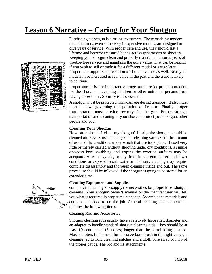# **Lesson 6 Narrative – Caring for Your Shotgun**



Purchasing a shotgun is a major investment. Those made by modem manufacturers, even some very inexpensive models, are designed to give years of service. With proper care and use, they should last a lifetime and become treasured bonds across generations of shooters. Keeping your shotgun clean and properly maintained ensures years of trouble-free service and maintains the gun's value. That can be helpful if you wish to sell or trade it for a different model or gauge later. Proper care supports appreciation of shotgun values as well. Nearly all models have increased in real value in the past and the trend is likely to continue.

Proper storage is also important. Storage must provide proper protection for the shotgun, preventing children or other untrained persons from having access to it. Security is also essential.

A shotgun must be protected from damage during transport. It also must meet all laws governing transportation of firearms. Finally, proper transportation must provide security for the gun. Proper storage, transportation and cleaning of your shotgun protect your shotgun, other people and you.

#### **Cleaning Your Shotgun**

How often should I clean my shotgun? Ideally the shotgun should be cleaned after every use. The degree of cleaning varies with the amount of use and the conditions under which that use took place. If used very little or merely carried without shooting under dry conditions, a simple one-pass bore swabbing and wiping the exterior surfaces may be adequate. After heavy use, or any time the shotgun is used under wet conditions or exposed to salt water or acid rain, cleaning may require complete disassembly and thorough cleaning inside and out. The same procedure should be followed if the shotgun is going to be stored for an extended time.

#### **Cleaning Equipment and Supplies**

commercial cleaning kits supply the necessities for proper Most shotgun cleaning. Your shotgun owner's manual or the manufacturer will tell you what is required in proper maintenance. Assemble the materials and equipment needed to do the job. General cleaning and maintenance requires the following items.

#### Cleaning Rod and Accessories

Shotgun cleaning rods usually have a relatively large shaft diameter and an adapter to handle standard shotgun cleaning aids. They should be at least 10 centimeters (6 inches) longer than the barrel being cleaned. Most shooters find a need for a bronze bore brush in the right gauge, a cleaning jag to hold cleaning patches and a cloth bore swab or mop of the proper gauge. The rod and its attachments

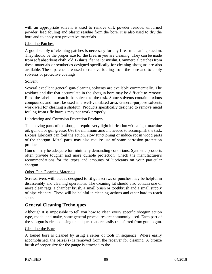with an appropriate solvent is used to remove dirt, powder residue, unburned powder, lead fouling and plastic residue from the bore. It is also used to dry the bore and to apply rust preventive materials.

#### Cleaning Patches

A good supply of cleaning patches is necessary for any firearm cleaning session. They should be the proper size for the firearm you are cleaning. They can be made from soft absorbent cloth, old T-shirts, flannel or muslin. Commercial patches from these materials or synthetics designed specifically for cleaning shotguns are also available. These patches are used to remove fouling from the bore and to apply solvents or protective coatings.

#### Solvent

Several excellent general gun-cleaning solvents are available commercially. The residues and dirt that accumulate in the shotgun bore may be difficult to remove. Read the label and match the solvent to the task. Some solvents contain noxious compounds and must be used in a well-ventilated area. General-purpose solvents work well for cleaning a shotgun. Products specifically designed to remove metal fouling from rifle barrels may not work properly.

#### Lubricating and Corrosion Protection Products

The moving parts of the shotgun require very light lubrication with a light machine oil, gun oil or gun grease. Use the minimum amount needed to accomplish the task. Excess lubricant can foul the action, slow functioning or induce rot in wood parts of the shotgun. Metal parts may also require use of some corrosion protection product.

Gun oil may be adequate for minimally demanding conditions. Synthetic products often provide tougher and more durable protection. Check the manufacturer's recommendations for the types and amounts of lubricants on your particular shotgun.

#### Other Gun Cleaning Materials

Screwdrivers with blades designed to fit gun screws or punches may be helpful in disassembly and cleaning operations. The cleaning kit should also contain one or more clean rags, a chamber brush, a small brush or toothbrush and a small supply of pipe cleaners. These will be helpful in cleaning actions and other hard to reach spots.

#### **General Cleaning Techniques**

Although it is impossible to tell you how to clean every specific shotgun action type, model and make, some general procedures are commonly used. Each part of the shotgun is cleaned using techniques that are easily transferred from gun to gun.

#### Cleaning the Bore

A fouled bore is cleaned by using a series of tools in sequence. Where easily accomplished, the barrel(s) is removed from the receiver for cleaning. A bronze brush of proper size for the gauge is attached to the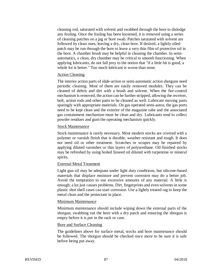cleaning rod, saturated with solvent and swabbed through the bore to dislodge any fouling. Once the fouling has been loosened, it is removed using a series of cleaning patches on a jag or bore swab. Patches saturated with solvent are followed by clean ones, leaving a dry, clean bore. If desired, a lightly oiled patch may be run through the bore to leave a very thin film of protective oil in the bore. A chamber brush may be helpful in cleaning the chamber. In semiautomatics, a clean, dry chamber may be critical to smooth functioning. When applying lubricants, do not fall prey to the notion that "if a little bit is good, a whole lot is better." Too much lubricant is worse than none.

#### Action Cleaning

The interior action parts of slide-action or semi-automatic action shotguns need periodic cleaning. Most of them are easily removed modules. They can be cleaned of debris and dirt with a brush and solvent. When the fire-control mechanism is removed, the action can be further stripped, allowing the receiver, bolt, action rods and other parts to be cleaned as well. Lubricate moving parts sparingly with appropriate materials. On gas operated semi-autos, the gas ports need to be kept clean and the exterior of the magazine tube and the associated gas containment mechanism must be clean and dry. Lubricants tend to collect powder residues and gum the operating mechanism quickly.

#### Stock Maintenance

Stock maintenance is rarely necessary. Most modern stocks are covered with a polymer or varnish finish that is durable, weather resistant and tough. It does not need oil or other treatment. Scratches or scrapes may be repaired by applying diluted varnishes or thin layers of polyurethane. Oil-finished stocks may be refreshed by using boiled linseed oil diluted with turpentine or mineral spirits.

#### External Metal Treatment

Light gun oil may be adequate under light duty conditions, but silicone-based materials that displace moisture and prevent corrosion may do a better job. Avoid the temptation to use excessive amounts of any material. A little is enough; a lot just causes problems. Dirt, fingerprints and even solvents in some plastic shot shell cases can start corrosion. Use a lightly treated rag to keep the metal clean and the protectant in place.

#### Minimum Maintenance

Minimum maintenance should include wiping down the external parts of the shotgun, swabbing out the bore with a dry patch and ensuring the shotgun is empty before it is put in the rack or case.

#### Bore and Surface Cleaning

The guidelines above for surface metal, stocks and bore maintenance should be followed. The shotgun should be checked once more to be sure it is safe before being put away.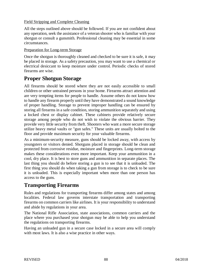#### Field Stripping and Complete Cleaning

All the steps outlined above should be followed. If you are not confident about any operation, seek the assistance of a veteran shooter who is familiar with your shotgun or consult a gunsmith. Professional cleaning may be essential in some circumstances.

#### Preparation for Long-term Storage

Once the shotgun is thoroughly cleaned and checked to be sure it is safe, it may be placed in storage. As a safety precaution, you may want to use a chemical or electrical desiccant to keep moisture under control. Periodic checks of stored firearms are wise.

## **Proper Shotgun Storage**

All firearms should be stored where they are not easily accessible to small children or other untrained persons in your home. Firearms attract attention and are very tempting items for people to handle. Assume others do not know how to handle any firearm properly until they have demonstrated a sound knowledge of proper handling. Storage to prevent improper handling can be ensured by storing all firearms in a safe condition, storing ammunition separately and using a locked chest or display cabinet. These cabinets provide relatively secure storage among people who do not wish to violate the obvious barrier. They provide very little security from theft. Shooters who want a more secure storage utilize heavy metal vaults or "gun safes." These units are usually bolted to the floor and provide maximum security for your valuable firearms.

As a minimum-security measure, guns should be locked away, with access by youngsters or visitors denied. Shotguns placed in storage should be clean and protected from corrosive residue, moisture and fingerprints. Long-term storage makes these considerations even more important. Keep your ammunition in a cool, dry place. It is best to store guns and ammunition in separate places. The last thing you should do before storing a gun is to see that it is unloaded. The first thing you should do when taking a gun from storage is to check to be sure it is unloaded. This is especially important when more than one person has access to the guns.

## **Transporting Firearms**

Rules and regulations for transporting firearms differ among states and among localities. Federal law governs interstate transportation and transporting firearms on common carriers like airlines. It is your responsibility to understand and abide by regulations in your area.

The National Rifle Association, state associations, common carriers and the place where you purchased your shotgun may be able to help you understand the regulations on transporting firearms.

Having an unloaded gun in a secure case locked in a secure area will comply with most laws. It is also a wise practice in other ways.